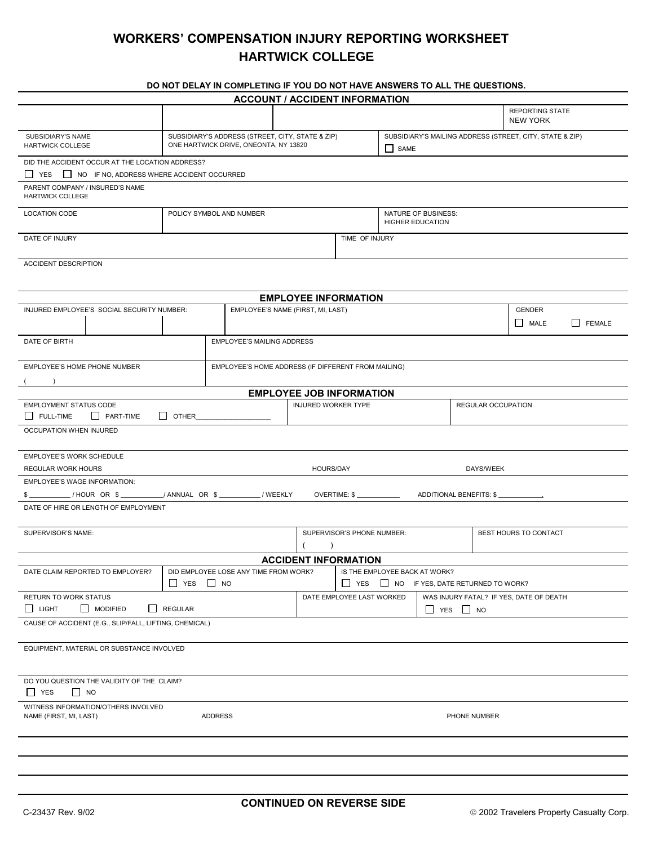## **WORKERS' COMPENSATION INJURY REPORTING WORKSHEET HARTWICK COLLEGE**

## **DO NOT DELAY IN COMPLETING IF YOU DO NOT HAVE ANSWERS TO ALL THE QUESTIONS.**

|                                                                                                                                  |                                                                                           | <b>ACCOUNT / ACCIDENT INFORMATION</b> |  |                                                                                         |                                                                  |  |  |                                           |  |
|----------------------------------------------------------------------------------------------------------------------------------|-------------------------------------------------------------------------------------------|---------------------------------------|--|-----------------------------------------------------------------------------------------|------------------------------------------------------------------|--|--|-------------------------------------------|--|
|                                                                                                                                  |                                                                                           |                                       |  |                                                                                         |                                                                  |  |  | <b>REPORTING STATE</b><br><b>NEW YORK</b> |  |
| SUBSIDIARY'S NAME<br><b>HARTWICK COLLEGE</b>                                                                                     | SUBSIDIARY'S ADDRESS (STREET, CITY, STATE & ZIP)<br>ONE HARTWICK DRIVE, ONEONTA, NY 13820 |                                       |  |                                                                                         | SUBSIDIARY'S MAILING ADDRESS (STREET, CITY, STATE & ZIP)<br>SAME |  |  |                                           |  |
| DID THE ACCIDENT OCCUR AT THE LOCATION ADDRESS?<br>□ YES □ NO IF NO, ADDRESS WHERE ACCIDENT OCCURRED                             |                                                                                           |                                       |  |                                                                                         |                                                                  |  |  |                                           |  |
| PARENT COMPANY / INSURED'S NAME<br><b>HARTWICK COLLEGE</b>                                                                       |                                                                                           |                                       |  |                                                                                         |                                                                  |  |  |                                           |  |
| LOCATION CODE                                                                                                                    | POLICY SYMBOL AND NUMBER                                                                  |                                       |  |                                                                                         | NATURE OF BUSINESS:<br><b>HIGHER EDUCATION</b>                   |  |  |                                           |  |
| DATE OF INJURY                                                                                                                   |                                                                                           |                                       |  | TIME OF INJURY                                                                          |                                                                  |  |  |                                           |  |
| ACCIDENT DESCRIPTION                                                                                                             |                                                                                           |                                       |  |                                                                                         |                                                                  |  |  |                                           |  |
| <b>EMPLOYEE INFORMATION</b>                                                                                                      |                                                                                           |                                       |  |                                                                                         |                                                                  |  |  |                                           |  |
| INJURED EMPLOYEE'S SOCIAL SECURITY NUMBER:                                                                                       |                                                                                           | EMPLOYEE'S NAME (FIRST, MI, LAST)     |  |                                                                                         |                                                                  |  |  | GENDER                                    |  |
|                                                                                                                                  |                                                                                           |                                       |  |                                                                                         |                                                                  |  |  | MALE<br>FEMALE                            |  |
|                                                                                                                                  | <b>EMPLOYEE'S MAILING ADDRESS</b><br>DATE OF BIRTH                                        |                                       |  |                                                                                         |                                                                  |  |  |                                           |  |
| EMPLOYEE'S HOME PHONE NUMBER<br>$\overline{\phantom{a}}$                                                                         | EMPLOYEE'S HOME ADDRESS (IF DIFFERENT FROM MAILING)                                       |                                       |  |                                                                                         |                                                                  |  |  |                                           |  |
| <b>EMPLOYEE JOB INFORMATION</b>                                                                                                  |                                                                                           |                                       |  |                                                                                         |                                                                  |  |  |                                           |  |
| <b>EMPLOYMENT STATUS CODE</b><br>FULL-TIME<br>PART-TIME<br>$\Box$ OTHER                                                          |                                                                                           |                                       |  | <b>INJURED WORKER TYPE</b><br><b>REGULAR OCCUPATION</b>                                 |                                                                  |  |  |                                           |  |
| OCCUPATION WHEN INJURED                                                                                                          |                                                                                           |                                       |  |                                                                                         |                                                                  |  |  |                                           |  |
| EMPLOYEE'S WORK SCHEDULE                                                                                                         |                                                                                           |                                       |  |                                                                                         |                                                                  |  |  |                                           |  |
| REGULAR WORK HOURS<br>HOURS/DAY<br>DAYS/WEEK                                                                                     |                                                                                           |                                       |  |                                                                                         |                                                                  |  |  |                                           |  |
| <b>EMPLOYEE'S WAGE INFORMATION:</b>                                                                                              |                                                                                           |                                       |  |                                                                                         |                                                                  |  |  |                                           |  |
| \$ ___________/ HOUR OR \$ __________/ ANNUAL OR \$ ___________/ WEEKLY<br>OVERTIME: \$ _____________<br>ADDITIONAL BENEFITS: \$ |                                                                                           |                                       |  |                                                                                         |                                                                  |  |  |                                           |  |
| DATE OF HIRE OR LENGTH OF EMPLOYMENT                                                                                             |                                                                                           |                                       |  |                                                                                         |                                                                  |  |  |                                           |  |
| SUPERVISOR'S NAME:                                                                                                               |                                                                                           |                                       |  | SUPERVISOR'S PHONE NUMBER:                                                              |                                                                  |  |  | BEST HOURS TO CONTACT                     |  |
|                                                                                                                                  |                                                                                           |                                       |  | $\lambda$                                                                               |                                                                  |  |  |                                           |  |
| <b>ACCIDENT INFORMATION</b>                                                                                                      |                                                                                           |                                       |  |                                                                                         |                                                                  |  |  |                                           |  |
| DID EMPLOYEE LOSE ANY TIME FROM WORK?<br>DATE CLAIM REPORTED TO EMPLOYER?<br>$\Box$ NO<br>$\Box$ YES                             |                                                                                           |                                       |  | IS THE EMPLOYEE BACK AT WORK?<br>$\Box$ YES<br>$\Box$ NO IF YES, DATE RETURNED TO WORK? |                                                                  |  |  |                                           |  |
| RETURN TO WORK STATUS                                                                                                            |                                                                                           |                                       |  | DATE EMPLOYEE LAST WORKED<br>WAS INJURY FATAL? IF YES, DATE OF DEATH                    |                                                                  |  |  |                                           |  |
| $\Box$ MODIFIED<br>$\Box$ LIGHT<br>$\Box$ REGULAR<br>$\Box$ YES $\Box$ NO                                                        |                                                                                           |                                       |  |                                                                                         |                                                                  |  |  |                                           |  |
| CAUSE OF ACCIDENT (E.G., SLIP/FALL, LIFTING, CHEMICAL)                                                                           |                                                                                           |                                       |  |                                                                                         |                                                                  |  |  |                                           |  |
| EQUIPMENT, MATERIAL OR SUBSTANCE INVOLVED                                                                                        |                                                                                           |                                       |  |                                                                                         |                                                                  |  |  |                                           |  |
| DO YOU QUESTION THE VALIDITY OF THE CLAIM?<br>$\Box$ YES<br>$\Box$ NO                                                            |                                                                                           |                                       |  |                                                                                         |                                                                  |  |  |                                           |  |
| WITNESS INFORMATION/OTHERS INVOLVED<br>NAME (FIRST, MI, LAST)<br><b>ADDRESS</b>                                                  |                                                                                           |                                       |  | PHONE NUMBER                                                                            |                                                                  |  |  |                                           |  |
|                                                                                                                                  |                                                                                           |                                       |  |                                                                                         |                                                                  |  |  |                                           |  |
|                                                                                                                                  |                                                                                           |                                       |  |                                                                                         |                                                                  |  |  |                                           |  |
|                                                                                                                                  |                                                                                           |                                       |  |                                                                                         |                                                                  |  |  |                                           |  |